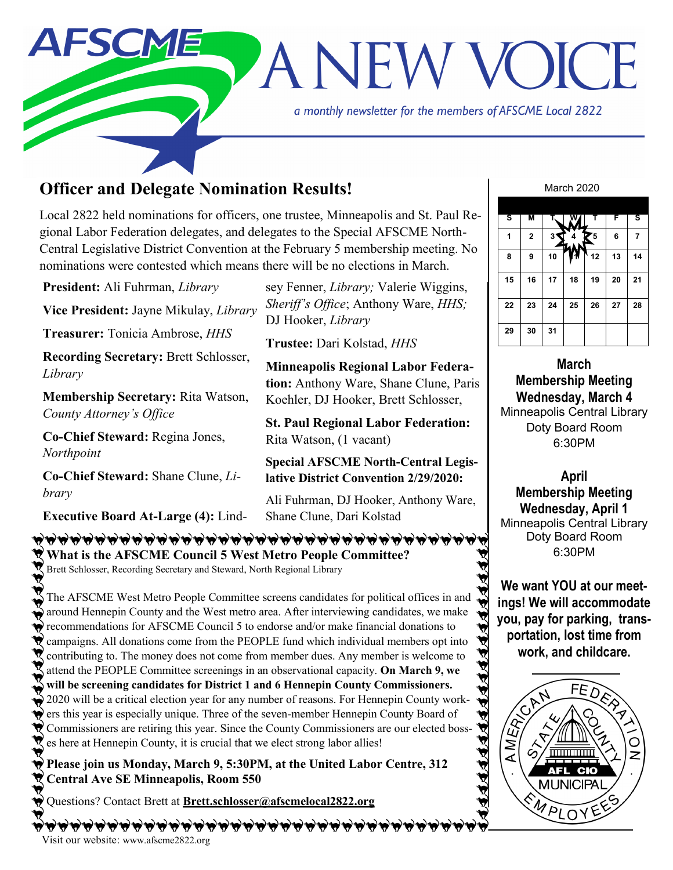

# **Officer and Delegate Nomination Results!**

Local 2822 held nominations for officers, one trustee, Minneapolis and St. Paul Regional Labor Federation delegates, and delegates to the Special AFSCME North-Central Legislative District Convention at the February 5 membership meeting. No nominations were contested which means there will be no elections in March.

**March** Doty Board Room 6:30PM **April 29 30 31 President:** Ali Fuhrman, *Library* **Vice President:** Jayne Mikulay, *Library* **Treasurer:** Tonicia Ambrose, *HHS* **Recording Secretary:** Brett Schlosser, *Library* **Membership Secretary:** Rita Watson, *County Attorney's Office* **Co-Chief Steward:** Regina Jones, *Northpoint* **Co-Chief Steward:** Shane Clune, *Library* sey Fenner, *Library;* Valerie Wiggins, *Sheriff's Office*; Anthony Ware, *HHS;*  DJ Hooker, *Library* **Trustee:** Dari Kolstad, *HHS* **Minneapolis Regional Labor Federation:** Anthony Ware, Shane Clune, Paris Koehler, DJ Hooker, Brett Schlosser, **St. Paul Regional Labor Federation:**  Rita Watson, (1 vacant) **Special AFSCME North-Central Legislative District Convention 2/29/2020:**

**Executive Board At-Large (4):** Lind-

Ali Fuhrman, DJ Hooker, Anthony Ware, Shane Clune, Dari Kolstad

## **BABBBBBBBBBBBBBBBBBBBBBBBBBBBB What is the AFSCME Council 5 West Metro People Committee?**

Brett Schlosser, Recording Secretary and Steward, North Regional Library

The AFSCME West Metro People Committee screens candidates for political offices in and around Hennepin County and the West metro area. After interviewing candidates, we make  $\blacklozenge$  recommendations for AFSCME Council 5 to endorse and/or make financial donations to V campaigns. All donations come from the PEOPLE fund which individual members opt into contributing to. The money does not come from member dues. Any member is welcome to attend the PEOPLE Committee screenings in an observational capacity. **On March 9, we will be screening candidates for District 1 and 6 Hennepin County Commissioners.**  'n Will be servering candidates for District T and 6 Temper County Commissioners.<br>2020 will be a critical election year for any number of reasons. For Hennepin County work- $\blacklozenge$  ers this year is especially unique. Three of the seven-member Hennepin County Board of Commissioners are retiring this year. Since the County Commissioners are our elected bosses here at Hennepin County, it is crucial that we elect strong labor allies!

**Please join us Monday, March 9, 5:30PM, at the United Labor Centre, 312 Central Ave SE Minneapolis, Room 550** 

Questions? Contact Brett at **Brett.schlosser@afscmelocal2822.org**

Visit our website: www.afscme2822.org

#### March 2020

| s  | Μ           | т. |    | т  | F  | s  |
|----|-------------|----|----|----|----|----|
| 1  | $\mathbf 2$ | 31 |    | 75 | 6  | 7  |
| 8  | 9           | 10 |    | 12 | 13 | 14 |
| 15 | 16          | 17 | 18 | 19 | 20 | 21 |
| 22 | 23          | 24 | 25 | 26 | 27 | 28 |
| 29 | 30          | 31 |    |    |    |    |

**Membership Meeting Wednesday, March 4** Minneapolis Central Library

**Membership Meeting Wednesday, April 1** Minneapolis Central Library Doty Board Room 6:30PM

**We want YOU at our meetings! We will accommodate you, pay for parking, transportation, lost time from work, and childcare.** 

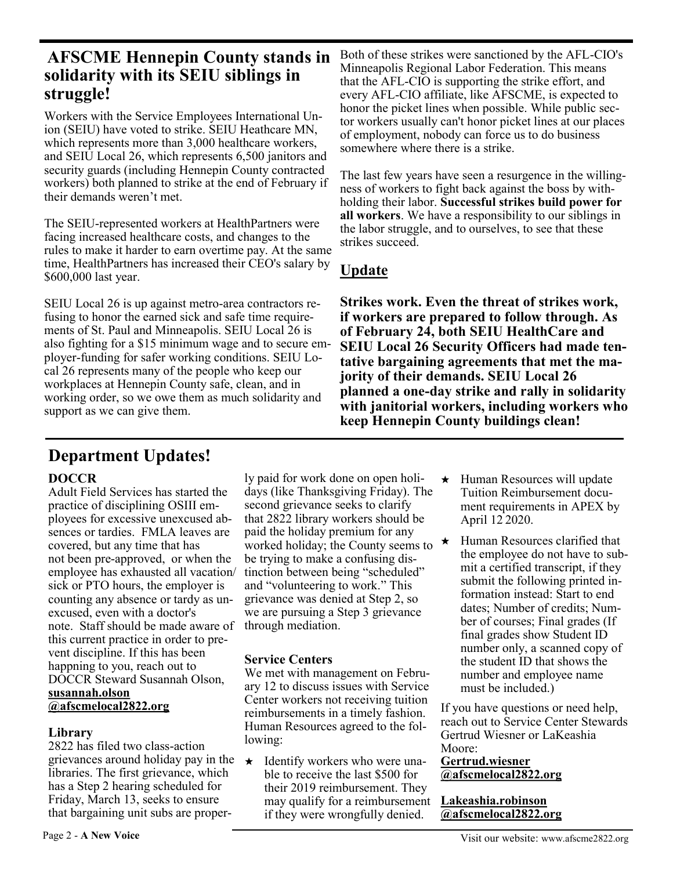# **AFSCME Hennepin County stands in solidarity with its SEIU siblings in struggle!**

Workers with the Service Employees International Union (SEIU) have voted to strike. SEIU Heathcare MN, which represents more than 3,000 healthcare workers, and SEIU Local 26, which represents 6,500 janitors and security guards (including Hennepin County contracted workers) both planned to strike at the end of February if their demands weren't met.

The SEIU-represented workers at HealthPartners were facing increased healthcare costs, and changes to the rules to make it harder to earn overtime pay. At the same time, HealthPartners has increased their CEO's salary by \$600,000 last year.

SEIU Local 26 is up against metro-area contractors refusing to honor the earned sick and safe time requirements of St. Paul and Minneapolis. SEIU Local 26 is also fighting for a \$15 minimum wage and to secure employer-funding for safer working conditions. SEIU Local 26 represents many of the people who keep our workplaces at Hennepin County safe, clean, and in working order, so we owe them as much solidarity and support as we can give them.

Both of these strikes were sanctioned by the AFL-CIO's Minneapolis Regional Labor Federation. This means that the AFL-CIO is supporting the strike effort, and every AFL-CIO affiliate, like AFSCME, is expected to honor the picket lines when possible. While public sector workers usually can't honor picket lines at our places of employment, nobody can force us to do business somewhere where there is a strike.

The last few years have seen a resurgence in the willingness of workers to fight back against the boss by withholding their labor. **Successful strikes build power for all workers**. We have a responsibility to our siblings in the labor struggle, and to ourselves, to see that these strikes succeed.

# **Update**

**Strikes work. Even the threat of strikes work, if workers are prepared to follow through. As of February 24, both SEIU HealthCare and SEIU Local 26 Security Officers had made tentative bargaining agreements that met the majority of their demands. SEIU Local 26 planned a one-day strike and rally in solidarity with janitorial workers, including workers who keep Hennepin County buildings clean!**

# **Department Updates!**

## **DOCCR**

Adult Field Services has started the practice of disciplining OSIII employees for excessive unexcused absences or tardies. FMLA leaves are covered, but any time that has not been pre-approved, or when the employee has exhausted all vacation/ sick or PTO hours, the employer is counting any absence or tardy as unexcused, even with a doctor's note. Staff should be made aware of this current practice in order to prevent discipline. If this has been happning to you, reach out to DOCCR Steward Susannah Olson, **susannah.olson @afscmelocal2822.org** 

## **Library**

2822 has filed two class-action grievances around holiday pay in the libraries. The first grievance, which has a Step 2 hearing scheduled for Friday, March 13, seeks to ensure that bargaining unit subs are properly paid for work done on open holidays (like Thanksgiving Friday). The second grievance seeks to clarify that 2822 library workers should be paid the holiday premium for any worked holiday; the County seems to be trying to make a confusing distinction between being "scheduled" and "volunteering to work." This grievance was denied at Step 2, so we are pursuing a Step 3 grievance through mediation.

# **Service Centers**

We met with management on February 12 to discuss issues with Service Center workers not receiving tuition reimbursements in a timely fashion. Human Resources agreed to the following:

★ Identify workers who were unable to receive the last \$500 for their 2019 reimbursement. They may qualify for a reimbursement if they were wrongfully denied.

- ★ Human Resources will update Tuition Reimbursement document requirements in APEX by April 12 2020.
- ★ Human Resources clarified that the employee do not have to submit a certified transcript, if they submit the following printed information instead: Start to end dates; Number of credits; Number of courses; Final grades (If final grades show Student ID number only, a scanned copy of the student ID that shows the number and employee name must be included.)

If you have questions or need help, reach out to Service Center Stewards Gertrud Wiesner or LaKeashia Moore:

#### **Gertrud.wiesner @afscmelocal2822.org**

## **Lakeashia.robinson @afscmelocal2822.org**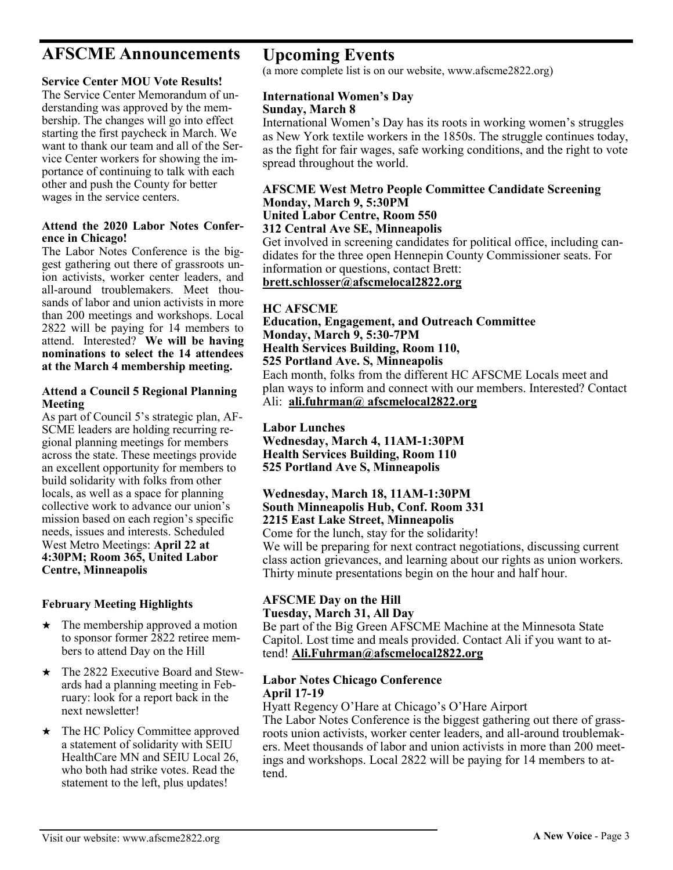# **AFSCME Announcements**

#### **Service Center MOU Vote Results!**

The Service Center Memorandum of understanding was approved by the membership. The changes will go into effect starting the first paycheck in March. We want to thank our team and all of the Service Center workers for showing the importance of continuing to talk with each other and push the County for better wages in the service centers.

#### **Attend the 2020 Labor Notes Conference in Chicago!**

The Labor Notes Conference is the biggest gathering out there of grassroots union activists, worker center leaders, and all-around troublemakers. Meet thousands of labor and union activists in more than 200 meetings and workshops. Local 2822 will be paying for 14 members to attend. Interested? **We will be having nominations to select the 14 attendees at the March 4 membership meeting.**

#### **Attend a Council 5 Regional Planning Meeting**

As part of Council 5's strategic plan, AF-SCME leaders are holding recurring regional planning meetings for members across the state. These meetings provide an excellent opportunity for members to build solidarity with folks from other locals, as well as a space for planning collective work to advance our union's mission based on each region's specific needs, issues and interests. Scheduled West Metro Meetings: **April 22 at 4:30PM; [Room 365, United Labor](https://u1584542.ct.sendgrid.net/mps2/c/6gA/ni0YAA/t.2xg/Iu8gUv5xRt-x6UlDkbp77Q/h2/VrRKfgBRlQEgyCYxGCgpRYkW2Utjl0O8tuxmDGJNCkIV533aScABXG498sMEgyXD9pnB-2BHVPk-2FB6M8uzgT4xBBxBbXtr-2BdH8II0cBiNcbqilDq-2BtybmsCw3-2F2foS5-2FRJAonel0VdVWzZbrXxZ61GV9UkLV5kHUmDHQ-2)  [Centre, Minneapolis](https://u1584542.ct.sendgrid.net/mps2/c/6gA/ni0YAA/t.2xg/Iu8gUv5xRt-x6UlDkbp77Q/h2/VrRKfgBRlQEgyCYxGCgpRYkW2Utjl0O8tuxmDGJNCkIV533aScABXG498sMEgyXD9pnB-2BHVPk-2FB6M8uzgT4xBBxBbXtr-2BdH8II0cBiNcbqilDq-2BtybmsCw3-2F2foS5-2FRJAonel0VdVWzZbrXxZ61GV9UkLV5kHUmDHQ-2)**

#### **February Meeting Highlights**

- $\star$  The membership approved a motion to sponsor former 2822 retiree members to attend Day on the Hill
- ★ The 2822 Executive Board and Stewards had a planning meeting in February: look for a report back in the next newsletter!
- ★ The HC Policy Committee approved a statement of solidarity with SEIU HealthCare MN and SEIU Local 26, who both had strike votes. Read the statement to the left, plus updates!

**Upcoming Events**

(a more complete list is on our website, www.afscme2822.org)

#### **International Women's Day Sunday, March 8**

International Women's Day has its roots in working women's struggles as New York textile workers in the 1850s. The struggle continues today, as the fight for fair wages, safe working conditions, and the right to vote spread throughout the world.

#### **AFSCME West Metro People Committee Candidate Screening Monday, March 9, 5:30PM United Labor Centre, Room 550**

#### **312 Central Ave SE, Minneapolis**

Get involved in screening candidates for political office, including candidates for the three open Hennepin County Commissioner seats. For information or questions, contact Brett:

**brett.schlosser@afscmelocal2822.org**

#### **HC AFSCME**

**Education, Engagement, and Outreach Committee Monday, March 9, 5:30-7PM Health Services Building, Room 110, 525 Portland Ave. S, Minneapolis**

Each month, folks from the different HC AFSCME Locals meet and plan ways to inform and connect with our members. Interested? Contact Ali: **ali.fuhrman@ afscmelocal2822.org**

#### **Labor Lunches**

**Wednesday, March 4, 11AM-1:30PM Health Services Building, Room 110 525 Portland Ave S, Minneapolis**

#### **Wednesday, March 18, 11AM-1:30PM South Minneapolis Hub, Conf. Room 331 2215 East Lake Street, Minneapolis**

Come for the lunch, stay for the solidarity!

We will be preparing for next contract negotiations, discussing current class action grievances, and learning about our rights as union workers. Thirty minute presentations begin on the hour and half hour.

#### **AFSCME Day on the Hill Tuesday, March 31, All Day**

Be part of the Big Green AFSCME Machine at the Minnesota State Capitol. Lost time and meals provided. Contact Ali if you want to attend! **Ali.Fuhrman@afscmelocal2822.org**

#### **Labor Notes Chicago Conference April 17-19**

Hyatt Regency O'Hare at Chicago's O'Hare Airport

The Labor Notes Conference is the biggest gathering out there of grassroots union activists, worker center leaders, and all-around troublemakers. Meet thousands of labor and union activists in more than 200 meetings and workshops. Local 2822 will be paying for 14 members to attend.